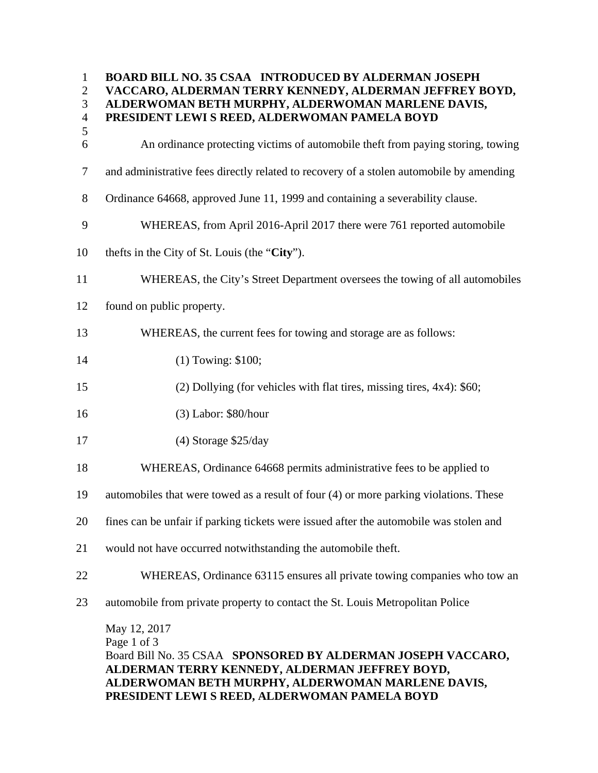| $\mathbf{1}$<br>$\overline{2}$<br>3<br>$\overline{4}$<br>5 | <b>BOARD BILL NO. 35 CSAA INTRODUCED BY ALDERMAN JOSEPH</b><br>VACCARO, ALDERMAN TERRY KENNEDY, ALDERMAN JEFFREY BOYD,<br>ALDERWOMAN BETH MURPHY, ALDERWOMAN MARLENE DAVIS,<br>PRESIDENT LEWI S REED, ALDERWOMAN PAMELA BOYD |
|------------------------------------------------------------|------------------------------------------------------------------------------------------------------------------------------------------------------------------------------------------------------------------------------|
| 6                                                          | An ordinance protecting victims of automobile theft from paying storing, towing                                                                                                                                              |
| $\tau$                                                     | and administrative fees directly related to recovery of a stolen automobile by amending                                                                                                                                      |
| 8                                                          | Ordinance 64668, approved June 11, 1999 and containing a severability clause.                                                                                                                                                |
| 9                                                          | WHEREAS, from April 2016-April 2017 there were 761 reported automobile                                                                                                                                                       |
| 10                                                         | thefts in the City of St. Louis (the "City").                                                                                                                                                                                |
| 11                                                         | WHEREAS, the City's Street Department oversees the towing of all automobiles                                                                                                                                                 |
| 12                                                         | found on public property.                                                                                                                                                                                                    |
| 13                                                         | WHEREAS, the current fees for towing and storage are as follows:                                                                                                                                                             |
| 14                                                         | (1) Towing: \$100;                                                                                                                                                                                                           |
| 15                                                         | $(2)$ Dollying (for vehicles with flat tires, missing tires, 4x4): \$60;                                                                                                                                                     |
| 16                                                         | $(3)$ Labor: \$80/hour                                                                                                                                                                                                       |
| 17                                                         | $(4)$ Storage \$25/day                                                                                                                                                                                                       |
| 18                                                         | WHEREAS, Ordinance 64668 permits administrative fees to be applied to                                                                                                                                                        |
| 19                                                         | automobiles that were towed as a result of four (4) or more parking violations. These                                                                                                                                        |
| 20                                                         | fines can be unfair if parking tickets were issued after the automobile was stolen and                                                                                                                                       |
| 21                                                         | would not have occurred notwithstanding the automobile theft.                                                                                                                                                                |
| 22                                                         | WHEREAS, Ordinance 63115 ensures all private towing companies who tow an                                                                                                                                                     |
| 23                                                         | automobile from private property to contact the St. Louis Metropolitan Police                                                                                                                                                |
|                                                            | May 12, 2017<br>Page 1 of 3<br>Board Bill No. 35 CSAA SPONSORED BY ALDERMAN JOSEPH VACCARO,<br>ALDERMAN TERRY KENNEDY, ALDERMAN JEFFREY BOYD,<br>ALDERWOMAN BETH MURPHY, ALDERWOMAN MARLENE DAVIS,                           |

**PRESIDENT LEWI S REED, ALDERWOMAN PAMELA BOYD**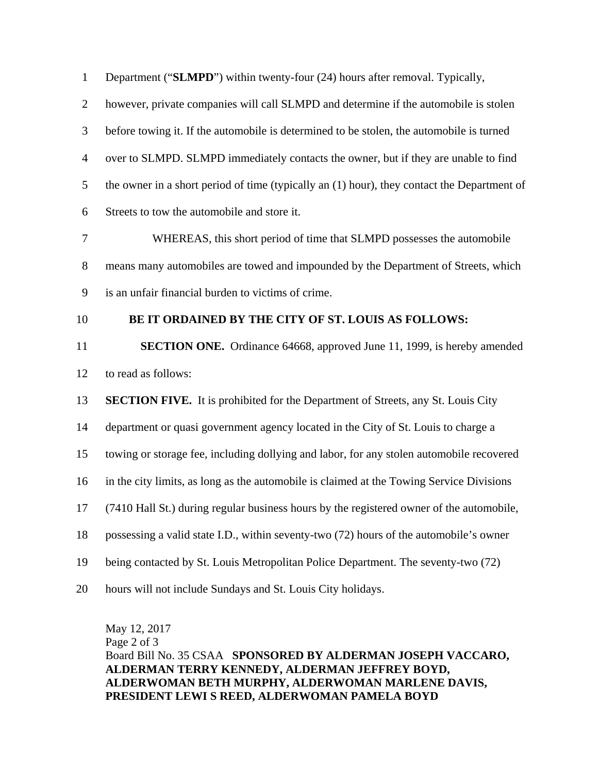| $\mathbf{1}$   | Department ("SLMPD") within twenty-four (24) hours after removal. Typically,                |
|----------------|---------------------------------------------------------------------------------------------|
| $\overline{2}$ | however, private companies will call SLMPD and determine if the automobile is stolen        |
| 3              | before towing it. If the automobile is determined to be stolen, the automobile is turned    |
| $\overline{4}$ | over to SLMPD. SLMPD immediately contacts the owner, but if they are unable to find         |
| 5              | the owner in a short period of time (typically an (1) hour), they contact the Department of |
| 6              | Streets to tow the automobile and store it.                                                 |
| 7              | WHEREAS, this short period of time that SLMPD possesses the automobile                      |
| $8\,$          | means many automobiles are towed and impounded by the Department of Streets, which          |
| 9              | is an unfair financial burden to victims of crime.                                          |
| 10             | BE IT ORDAINED BY THE CITY OF ST. LOUIS AS FOLLOWS:                                         |
|                |                                                                                             |
| 11             | <b>SECTION ONE.</b> Ordinance 64668, approved June 11, 1999, is hereby amended              |
| 12             | to read as follows:                                                                         |
| 13             | <b>SECTION FIVE.</b> It is prohibited for the Department of Streets, any St. Louis City     |
| 14             | department or quasi government agency located in the City of St. Louis to charge a          |
| 15             | towing or storage fee, including dollying and labor, for any stolen automobile recovered    |
| 16             | in the city limits, as long as the automobile is claimed at the Towing Service Divisions    |
| 17             | (7410 Hall St.) during regular business hours by the registered owner of the automobile,    |
| 18             | possessing a valid state I.D., within seventy-two (72) hours of the automobile's owner      |
| 19             | being contacted by St. Louis Metropolitan Police Department. The seventy-two (72)           |

May 12, 2017 Page 2 of 3 Board Bill No. 35 CSAA **SPONSORED BY ALDERMAN JOSEPH VACCARO, ALDERMAN TERRY KENNEDY, ALDERMAN JEFFREY BOYD, ALDERWOMAN BETH MURPHY, ALDERWOMAN MARLENE DAVIS, PRESIDENT LEWI S REED, ALDERWOMAN PAMELA BOYD**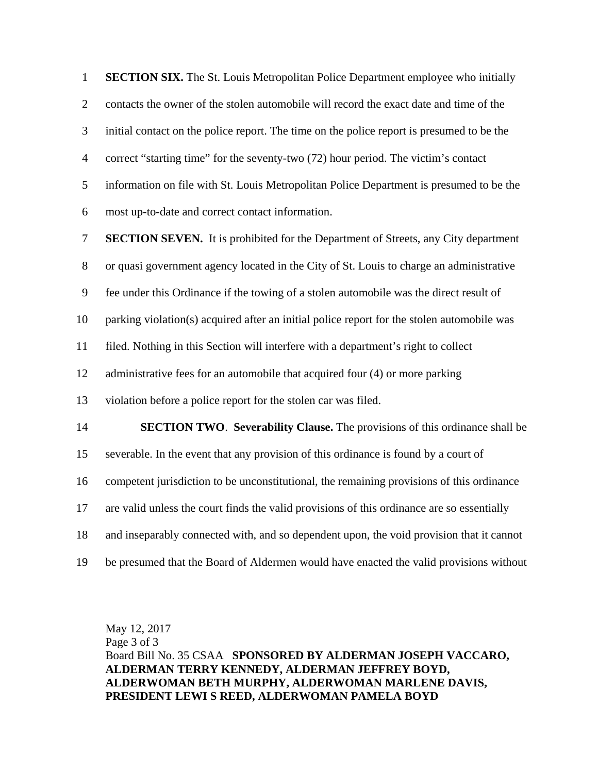1 **SECTION SIX.** The St. Louis Metropolitan Police Department employee who initially 2 contacts the owner of the stolen automobile will record the exact date and time of the 3 initial contact on the police report. The time on the police report is presumed to be the 4 correct "starting time" for the seventy-two (72) hour period. The victim's contact 5 information on file with St. Louis Metropolitan Police Department is presumed to be the 6 most up-to-date and correct contact information. 7 **SECTION SEVEN.** It is prohibited for the Department of Streets, any City department 8 or quasi government agency located in the City of St. Louis to charge an administrative 9 fee under this Ordinance if the towing of a stolen automobile was the direct result of 10 parking violation(s) acquired after an initial police report for the stolen automobile was 11 filed. Nothing in this Section will interfere with a department's right to collect 12 administrative fees for an automobile that acquired four (4) or more parking 13 violation before a police report for the stolen car was filed. 14 **SECTION TWO**. **Severability Clause.** The provisions of this ordinance shall be 15 severable. In the event that any provision of this ordinance is found by a court of 16 competent jurisdiction to be unconstitutional, the remaining provisions of this ordinance 17 are valid unless the court finds the valid provisions of this ordinance are so essentially 18 and inseparably connected with, and so dependent upon, the void provision that it cannot 19 be presumed that the Board of Aldermen would have enacted the valid provisions without

May 12, 2017 Page 3 of 3 Board Bill No. 35 CSAA **SPONSORED BY ALDERMAN JOSEPH VACCARO, ALDERMAN TERRY KENNEDY, ALDERMAN JEFFREY BOYD, ALDERWOMAN BETH MURPHY, ALDERWOMAN MARLENE DAVIS, PRESIDENT LEWI S REED, ALDERWOMAN PAMELA BOYD**